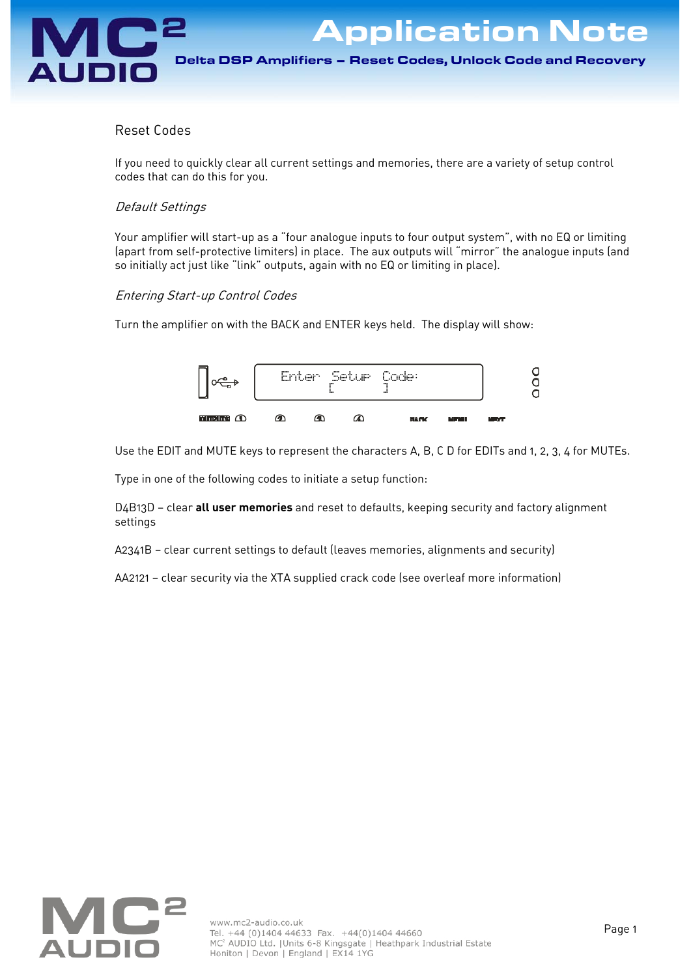# Reset Codes

If you need to quickly clear all current settings and memories, there are a variety of setup control codes that can do this for you.

## Default Settings

Your amplifier will start-up as a "four analogue inputs to four output system", with no EQ or limiting (apart from self-protective limiters) in place. The aux outputs will "mirror" the analogue inputs (and so initially act just like "link" outputs, again with no EQ or limiting in place).

## Entering Start-up Control Codes

Turn the amplifier on with the BACK and ENTER keys held. The display will show:



Use the EDIT and MUTE keys to represent the characters A, B, C D for EDITs and 1, 2, 3, 4 for MUTEs.

Type in one of the following codes to initiate a setup function:

D4B13D — clear **all user memories** and reset to defaults, keeping security and factory alignment settings

A2341B — clear current settings to default (leaves memories, alignments and security)

AA2121 — clear security via the XTA supplied crack code (see overleaf more information)

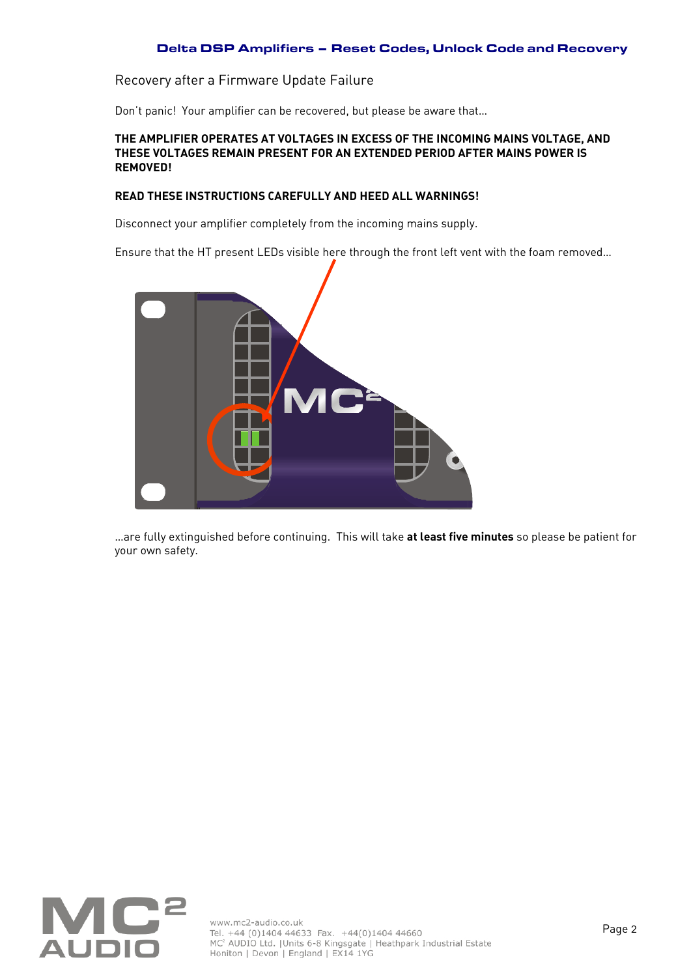## Delta DSP Amplifiers – Reset Codes, Unlock Code and Recovery

Recovery after a Firmware Update Failure

Don't panic! Your amplifier can be recovered, but please be aware that…

#### **THE AMPLIFIER OPERATES AT VOLTAGES IN EXCESS OF THE INCOMING MAINS VOLTAGE, AND THESE VOLTAGES REMAIN PRESENT FOR AN EXTENDED PERIOD AFTER MAINS POWER IS REMOVED!**

#### **READ THESE INSTRUCTIONS CAREFULLY AND HEED ALL WARNINGS!**

Disconnect your amplifier completely from the incoming mains supply.

Ensure that the HT present LEDs visible here through the front left vent with the foam removed…



…are fully extinguished before continuing. This will take **at least five minutes** so please be patient for your own safety.

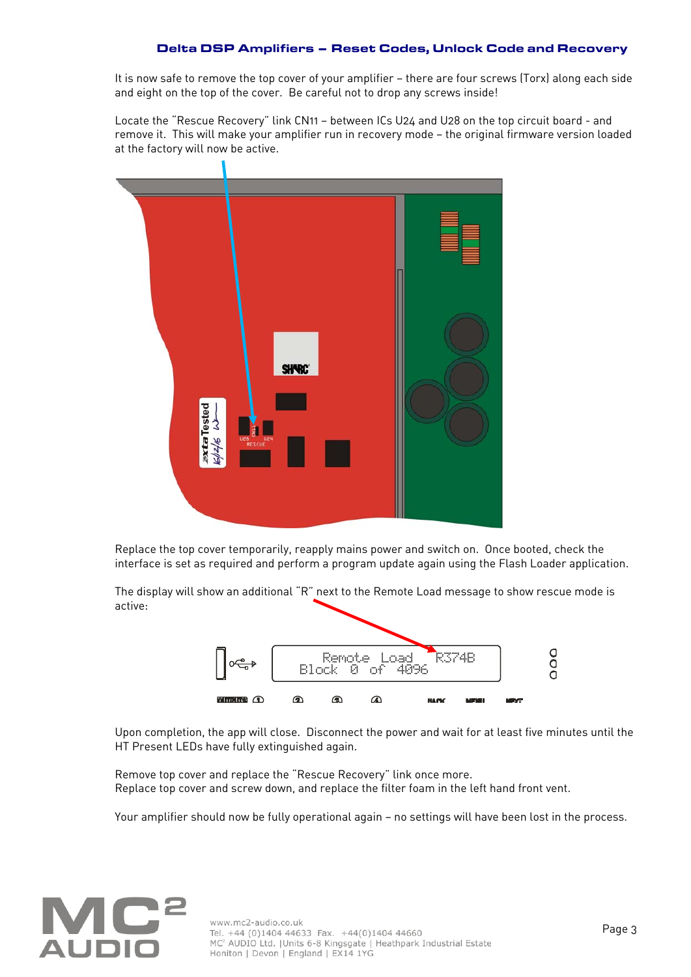## Delta DSP Amplifiers – Reset Codes, Unlock Code and Recovery

It is now safe to remove the top cover of your amplifier — there are four screws (Torx) along each side and eight on the top of the cover. Be careful not to drop any screws inside!

Locate the "Rescue Recovery" link CN11 — between ICs U24 and U28 on the top circuit board - and remove it. This will make your amplifier run in recovery mode — the original firmware version loaded at the factory will now be active.



Replace the top cover temporarily, reapply mains power and switch on. Once booted, check the interface is set as required and perform a program update again using the Flash Loader application.

The display will show an additional "R" next to the Remote Load message to show rescue mode is active:



Upon completion, the app will close. Disconnect the power and wait for at least five minutes until the HT Present LEDs have fully extinguished again.

Remove top cover and replace the "Rescue Recovery" link once more. Replace top cover and screw down, and replace the filter foam in the left hand front vent.

Your amplifier should now be fully operational again — no settings will have been lost in the process.